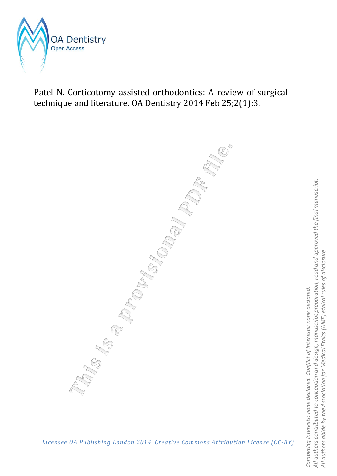

Patel N. Corticotomy assisted orthodontics: A review of surgical technique and literature. OA Dentistry 2014 Feb 25;2(1):3.

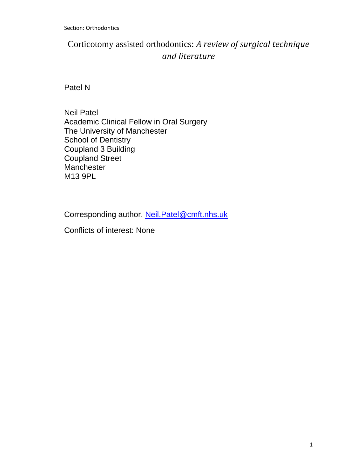Section: Orthodontics

# Corticotomy assisted orthodontics: *A review of surgical technique and literature*

Patel N

Neil Patel Academic Clinical Fellow in Oral Surgery The University of Manchester School of Dentistry Coupland 3 Building Coupland Street **Manchester** M13 9PL

Corresponding author. Neil.Patel@cmft.nhs.uk

Conflicts of interest: None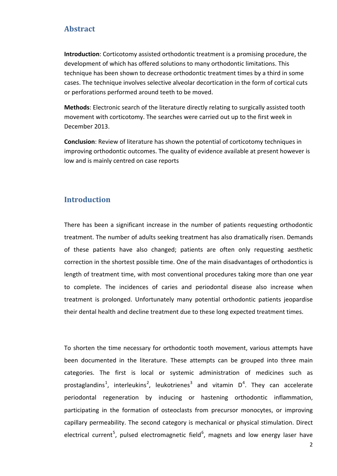# **Abstract**

**Introduction**: Corticotomy assisted orthodontic treatment is a promising procedure, the development of which has offered solutions to many orthodontic limitations. This technique has been shown to decrease orthodontic treatment times by a third in some cases. The technique involves selective alveolar decortication in the form of cortical cuts or perforations performed around teeth to be moved.

**Methods**: Electronic search of the literature directly relating to surgically assisted tooth movement with corticotomy. The searches were carried out up to the first week in December 2013.

**Conclusion**: Review of literature has shown the potential of corticotomy techniques in improving orthodontic outcomes. The quality of evidence available at present however is low and is mainly centred on case reports

## **Introduction**

There has been a significant increase in the number of patients requesting orthodontic treatment. The number of adults seeking treatment has also dramatically risen. Demands of these patients have also changed; patients are often only requesting aesthetic correction in the shortest possible time. One of the main disadvantages of orthodontics is length of treatment time, with most conventional procedures taking more than one year to complete. The incidences of caries and periodontal disease also increase when treatment is prolonged. Unfortunately many potential orthodontic patients jeopardise their dental health and decline treatment due to these long expected treatment times.

To shorten the time necessary for orthodontic tooth movement, various attempts have been documented in the literature. These attempts can be grouped into three main categories. The first is local or systemic administration of medicines such as prostaglandins<sup>1</sup>, interleukins<sup>2</sup>, leukotrienes<sup>3</sup> and vitamin  $D^4$ . They can accelerate periodontal regeneration by inducing or hastening orthodontic inflammation, participating in the formation of osteoclasts from precursor monocytes, or improving capillary permeability. The second category is mechanical or physical stimulation. Direct electrical current<sup>5</sup>, pulsed electromagnetic field<sup>6</sup>, magnets and low energy laser have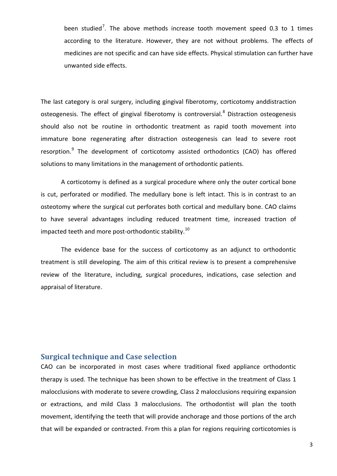been studied<sup>7</sup>. The above methods increase tooth movement speed 0.3 to 1 times according to the literature. However, they are not without problems. The effects of medicines are not specific and can have side effects. Physical stimulation can further have unwanted side effects.

The last category is oral surgery, including gingival fiberotomy, corticotomy anddistraction osteogenesis. The effect of gingival fiberotomy is controversial.<sup>8</sup> Distraction osteogenesis should also not be routine in orthodontic treatment as rapid tooth movement into immature bone regenerating after distraction osteogenesis can lead to severe root resorption.<sup>9</sup> The development of corticotomy assisted orthodontics (CAO) has offered solutions to many limitations in the management of orthodontic patients.

A corticotomy is defined as a surgical procedure where only the outer cortical bone is cut, perforated or modified. The medullary bone is left intact. This is in contrast to an osteotomy where the surgical cut perforates both cortical and medullary bone. CAO claims to have several advantages including reduced treatment time, increased traction of impacted teeth and more post-orthodontic stability.<sup>10</sup>

The evidence base for the success of corticotomy as an adjunct to orthodontic treatment is still developing. The aim of this critical review is to present a comprehensive review of the literature, including, surgical procedures, indications, case selection and appraisal of literature.

# **Surgical technique and Case selection**

CAO can be incorporated in most cases where traditional fixed appliance orthodontic therapy is used. The technique has been shown to be effective in the treatment of Class 1 malocclusions with moderate to severe crowding, Class 2 malocclusions requiring expansion or extractions, and mild Class 3 malocclusions. The orthodontist will plan the tooth movement, identifying the teeth that will provide anchorage and those portions of the arch that will be expanded or contracted. From this a plan for regions requiring corticotomies is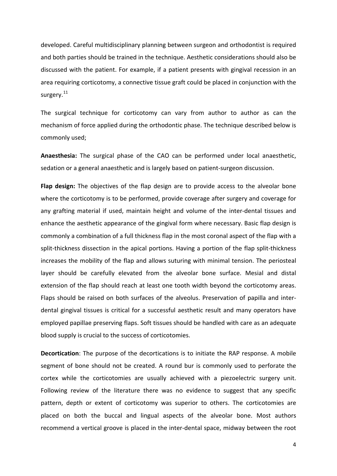developed. Careful multidisciplinary planning between surgeon and orthodontist is required and both parties should be trained in the technique. Aesthetic considerations should also be discussed with the patient. For example, if a patient presents with gingival recession in an area requiring corticotomy, a connective tissue graft could be placed in conjunction with the surgery. $^{11}$ 

The surgical technique for corticotomy can vary from author to author as can the mechanism of force applied during the orthodontic phase. The technique described below is commonly used;

**Anaesthesia:** The surgical phase of the CAO can be performed under local anaesthetic, sedation or a general anaesthetic and is largely based on patient-surgeon discussion.

**Flap design:** The objectives of the flap design are to provide access to the alveolar bone where the corticotomy is to be performed, provide coverage after surgery and coverage for any grafting material if used, maintain height and volume of the inter-dental tissues and enhance the aesthetic appearance of the gingival form where necessary. Basic flap design is commonly a combination of a full thickness flap in the most coronal aspect of the flap with a split-thickness dissection in the apical portions. Having a portion of the flap split-thickness increases the mobility of the flap and allows suturing with minimal tension. The periosteal layer should be carefully elevated from the alveolar bone surface. Mesial and distal extension of the flap should reach at least one tooth width beyond the corticotomy areas. Flaps should be raised on both surfaces of the alveolus. Preservation of papilla and interdental gingival tissues is critical for a successful aesthetic result and many operators have employed papillae preserving flaps. Soft tissues should be handled with care as an adequate blood supply is crucial to the success of corticotomies.

**Decortication**: The purpose of the decortications is to initiate the RAP response. A mobile segment of bone should not be created. A round bur is commonly used to perforate the cortex while the corticotomies are usually achieved with a piezoelectric surgery unit. Following review of the literature there was no evidence to suggest that any specific pattern, depth or extent of corticotomy was superior to others. The corticotomies are placed on both the buccal and lingual aspects of the alveolar bone. Most authors recommend a vertical groove is placed in the inter-dental space, midway between the root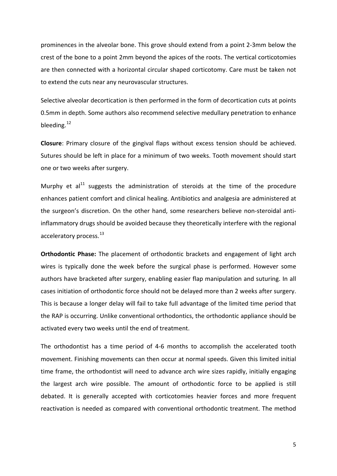prominences in the alveolar bone. This grove should extend from a point 2-3mm below the crest of the bone to a point 2mm beyond the apices of the roots. The vertical corticotomies are then connected with a horizontal circular shaped corticotomy. Care must be taken not to extend the cuts near any neurovascular structures.

Selective alveolar decortication is then performed in the form of decortication cuts at points 0.5mm in depth. Some authors also recommend selective medullary penetration to enhance bleeding.<sup>12</sup>

**Closure**: Primary closure of the gingival flaps without excess tension should be achieved. Sutures should be left in place for a minimum of two weeks. Tooth movement should start one or two weeks after surgery.

Murphy et  $al<sup>11</sup>$  suggests the administration of steroids at the time of the procedure enhances patient comfort and clinical healing. Antibiotics and analgesia are administered at the surgeon's discretion. On the other hand, some researchers believe non-steroidal antiinflammatory drugs should be avoided because they theoretically interfere with the regional acceleratory process.<sup>13</sup>

**Orthodontic Phase:** The placement of orthodontic brackets and engagement of light arch wires is typically done the week before the surgical phase is performed. However some authors have bracketed after surgery, enabling easier flap manipulation and suturing. In all cases initiation of orthodontic force should not be delayed more than 2 weeks after surgery. This is because a longer delay will fail to take full advantage of the limited time period that the RAP is occurring. Unlike conventional orthodontics, the orthodontic appliance should be activated every two weeks until the end of treatment.

The orthodontist has a time period of 4-6 months to accomplish the accelerated tooth movement. Finishing movements can then occur at normal speeds. Given this limited initial time frame, the orthodontist will need to advance arch wire sizes rapidly, initially engaging the largest arch wire possible. The amount of orthodontic force to be applied is still debated. It is generally accepted with corticotomies heavier forces and more frequent reactivation is needed as compared with conventional orthodontic treatment. The method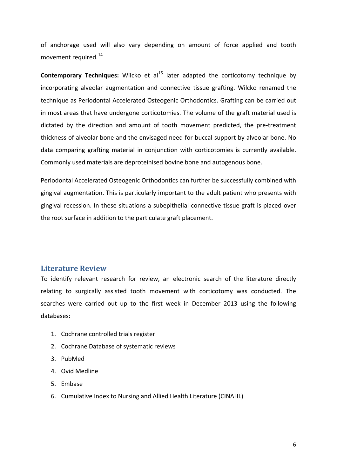of anchorage used will also vary depending on amount of force applied and tooth movement required. $^{14}$ 

**Contemporary Techniques:** Wilcko et al<sup>15</sup> later adapted the corticotomy technique by incorporating alveolar augmentation and connective tissue grafting. Wilcko renamed the technique as Periodontal Accelerated Osteogenic Orthodontics. Grafting can be carried out in most areas that have undergone corticotomies. The volume of the graft material used is dictated by the direction and amount of tooth movement predicted, the pre-treatment thickness of alveolar bone and the envisaged need for buccal support by alveolar bone. No data comparing grafting material in conjunction with corticotomies is currently available. Commonly used materials are deproteinised bovine bone and autogenous bone.

Periodontal Accelerated Osteogenic Orthodontics can further be successfully combined with gingival augmentation. This is particularly important to the adult patient who presents with gingival recession. In these situations a subepithelial connective tissue graft is placed over the root surface in addition to the particulate graft placement.

#### **Literature Review**

To identify relevant research for review, an electronic search of the literature directly relating to surgically assisted tooth movement with corticotomy was conducted. The searches were carried out up to the first week in December 2013 using the following databases:

- 1. Cochrane controlled trials register
- 2. Cochrane Database of systematic reviews
- 3. PubMed
- 4. Ovid Medline
- 5. Embase
- 6. Cumulative Index to Nursing and Allied Health Literature (CINAHL)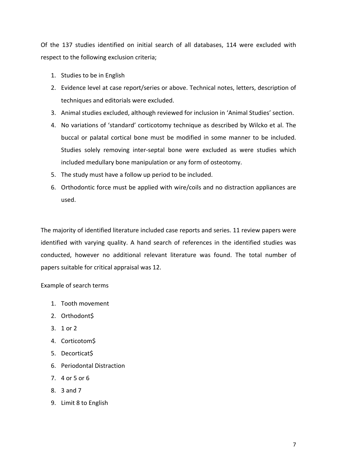Of the 137 studies identified on initial search of all databases, 114 were excluded with respect to the following exclusion criteria;

- 1. Studies to be in English
- 2. Evidence level at case report/series or above. Technical notes, letters, description of techniques and editorials were excluded.
- 3. Animal studies excluded, although reviewed for inclusion in 'Animal Studies' section.
- 4. No variations of 'standard' corticotomy technique as described by Wilcko et al. The buccal or palatal cortical bone must be modified in some manner to be included. Studies solely removing inter-septal bone were excluded as were studies which included medullary bone manipulation or any form of osteotomy.
- 5. The study must have a follow up period to be included.
- 6. Orthodontic force must be applied with wire/coils and no distraction appliances are used.

The majority of identified literature included case reports and series. 11 review papers were identified with varying quality. A hand search of references in the identified studies was conducted, however no additional relevant literature was found. The total number of papers suitable for critical appraisal was 12.

Example of search terms

- 1. Tooth movement
- 2. Orthodont\$
- 3. 1 or 2
- 4. Corticotom\$
- 5. Decorticat\$
- 6. Periodontal Distraction
- 7. 4 or 5 or 6
- 8. 3 and 7
- 9. Limit 8 to English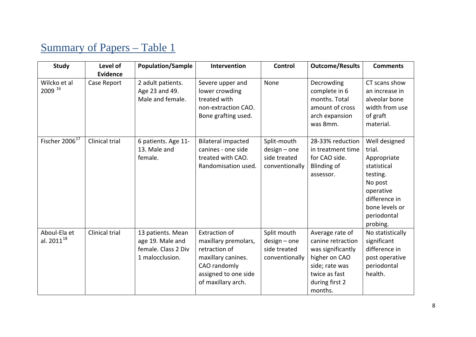# Summary of Papers – Table 1

| <b>Study</b>                           | Level of                       | <b>Population/Sample</b>                                                        | Intervention                                                                                                                                      | Control                                                         | <b>Outcome/Results</b>                                                                                                                     | <b>Comments</b>                                                                                                                                         |
|----------------------------------------|--------------------------------|---------------------------------------------------------------------------------|---------------------------------------------------------------------------------------------------------------------------------------------------|-----------------------------------------------------------------|--------------------------------------------------------------------------------------------------------------------------------------------|---------------------------------------------------------------------------------------------------------------------------------------------------------|
| Wilcko et al<br>2009 16                | <b>Evidence</b><br>Case Report | 2 adult patients.<br>Age 23 and 49.<br>Male and female.                         | Severe upper and<br>lower crowding<br>treated with<br>non-extraction CAO.<br>Bone grafting used.                                                  | None                                                            | Decrowding<br>complete in 6<br>months. Total<br>amount of cross<br>arch expansion<br>was 8mm.                                              | CT scans show<br>an increase in<br>alveolar bone<br>width from use<br>of graft<br>material.                                                             |
| Fischer 2006 <sup>17</sup>             | Clinical trial                 | 6 patients. Age 11-<br>13. Male and<br>female.                                  | <b>Bilateral impacted</b><br>canines - one side<br>treated with CAO.<br>Randomisation used.                                                       | Split-mouth<br>$design - one$<br>side treated<br>conventionally | 28-33% reduction<br>in treatment time<br>for CAO side.<br><b>Blinding of</b><br>assessor.                                                  | Well designed<br>trial.<br>Appropriate<br>statistical<br>testing.<br>No post<br>operative<br>difference in<br>bone levels or<br>periodontal<br>probing. |
| Aboul-Ela et<br>al. 2011 <sup>18</sup> | Clinical trial                 | 13 patients. Mean<br>age 19. Male and<br>female. Class 2 Div<br>1 malocclusion. | <b>Extraction of</b><br>maxillary premolars,<br>retraction of<br>maxillary canines.<br>CAO randomly<br>assigned to one side<br>of maxillary arch. | Split mouth<br>$design - one$<br>side treated<br>conventionally | Average rate of<br>canine retraction<br>was significantly<br>higher on CAO<br>side; rate was<br>twice as fast<br>during first 2<br>months. | No statistically<br>significant<br>difference in<br>post operative<br>periodontal<br>health.                                                            |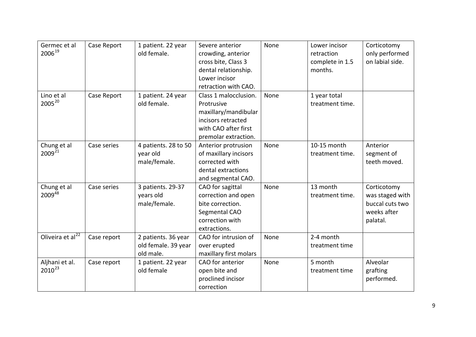| Germec et al<br>200619            | Case Report | 1 patient. 22 year<br>old female.                       | Severe anterior<br>crowding, anterior<br>cross bite, Class 3<br>dental relationship.<br>Lower incisor<br>retraction with CAO.     | None | Lower incisor<br>retraction<br>complete in 1.5<br>months. | Corticotomy<br>only performed<br>on labial side.                             |
|-----------------------------------|-------------|---------------------------------------------------------|-----------------------------------------------------------------------------------------------------------------------------------|------|-----------------------------------------------------------|------------------------------------------------------------------------------|
| Lino et al<br>$2005^{20}$         | Case Report | 1 patient. 24 year<br>old female.                       | Class 1 malocclusion.<br>Protrusive<br>maxillary/mandibular<br>incisors retracted<br>with CAO after first<br>premolar extraction. | None | 1 year total<br>treatment time.                           |                                                                              |
| Chung et al<br>2009 <sup>21</sup> | Case series | 4 patients. 28 to 50<br>year old<br>male/female.        | Anterior protrusion<br>of maxillary incisors<br>corrected with<br>dental extractions<br>and segmental CAO.                        | None | 10-15 month<br>treatment time.                            | Anterior<br>segment of<br>teeth moved.                                       |
| Chung et al<br>200948             | Case series | 3 patients. 29-37<br>years old<br>male/female.          | CAO for sagittal<br>correction and open<br>bite correction.<br>Segmental CAO<br>correction with<br>extractions.                   | None | 13 month<br>treatment time.                               | Corticotomy<br>was staged with<br>buccal cuts two<br>weeks after<br>palatal. |
| Oliveira et al <sup>22</sup>      | Case report | 2 patients. 36 year<br>old female. 39 year<br>old male. | CAO for intrusion of<br>over erupted<br>maxillary first molars                                                                    | None | 2-4 month<br>treatment time                               |                                                                              |
| Aljhani et al.<br>$2010^{23}$     | Case report | 1 patient. 22 year<br>old female                        | CAO for anterior<br>open bite and<br>proclined incisor<br>correction                                                              | None | 5 month<br>treatment time                                 | Alveolar<br>grafting<br>performed.                                           |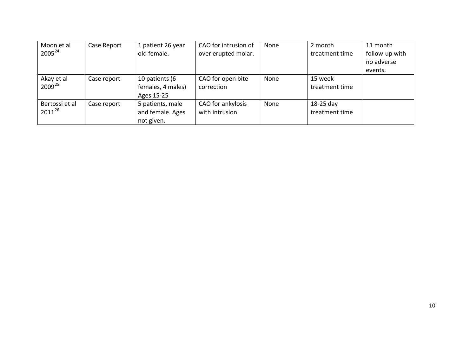| Moon et al<br>$2005^{24}$     | Case Report | 1 patient 26 year<br>old female.                   | CAO for intrusion of<br>over erupted molar. | None | 2 month<br>treatment time     | 11 month<br>follow-up with<br>no adverse<br>events. |
|-------------------------------|-------------|----------------------------------------------------|---------------------------------------------|------|-------------------------------|-----------------------------------------------------|
| Akay et al<br>$2009^{25}$     | Case report | 10 patients (6<br>females, 4 males)<br>Ages 15-25  | CAO for open bite<br>correction             | None | 15 week<br>treatment time     |                                                     |
| Bertossi et al<br>$2011^{26}$ | Case report | 5 patients, male<br>and female. Ages<br>not given. | CAO for ankylosis<br>with intrusion.        | None | $18-25$ day<br>treatment time |                                                     |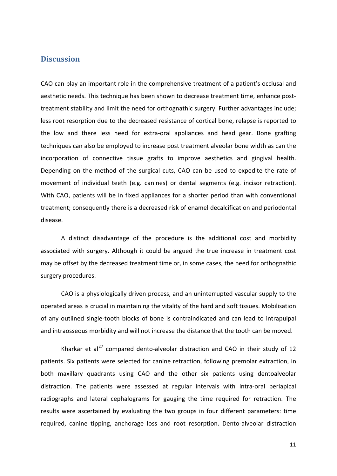#### **Discussion**

CAO can play an important role in the comprehensive treatment of a patient's occlusal and aesthetic needs. This technique has been shown to decrease treatment time, enhance posttreatment stability and limit the need for orthognathic surgery. Further advantages include; less root resorption due to the decreased resistance of cortical bone, relapse is reported to the low and there less need for extra-oral appliances and head gear. Bone grafting techniques can also be employed to increase post treatment alveolar bone width as can the incorporation of connective tissue grafts to improve aesthetics and gingival health. Depending on the method of the surgical cuts, CAO can be used to expedite the rate of movement of individual teeth (e.g. canines) or dental segments (e.g. incisor retraction). With CAO, patients will be in fixed appliances for a shorter period than with conventional treatment; consequently there is a decreased risk of enamel decalcification and periodontal disease.

A distinct disadvantage of the procedure is the additional cost and morbidity associated with surgery. Although it could be argued the true increase in treatment cost may be offset by the decreased treatment time or, in some cases, the need for orthognathic surgery procedures.

CAO is a physiologically driven process, and an uninterrupted vascular supply to the operated areas is crucial in maintaining the vitality of the hard and soft tissues. Mobilisation of any outlined single-tooth blocks of bone is contraindicated and can lead to intrapulpal and intraosseous morbidity and will not increase the distance that the tooth can be moved.

Kharkar et al<sup>27</sup> compared dento-alveolar distraction and CAO in their study of 12 patients. Six patients were selected for canine retraction, following premolar extraction, in both maxillary quadrants using CAO and the other six patients using dentoalveolar distraction. The patients were assessed at regular intervals with intra-oral periapical radiographs and lateral cephalograms for gauging the time required for retraction. The results were ascertained by evaluating the two groups in four different parameters: time required, canine tipping, anchorage loss and root resorption. Dento-alveolar distraction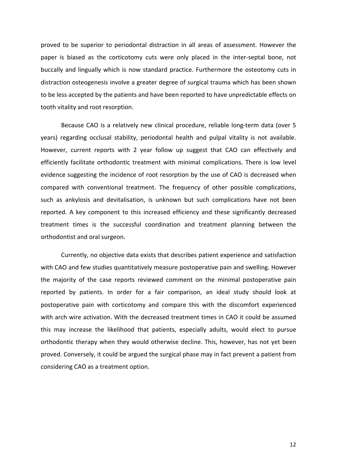proved to be superior to periodontal distraction in all areas of assessment. However the paper is biased as the corticotomy cuts were only placed in the inter-septal bone, not buccally and lingually which is now standard practice. Furthermore the osteotomy cuts in distraction osteogenesis involve a greater degree of surgical trauma which has been shown to be less accepted by the patients and have been reported to have unpredictable effects on tooth vitality and root resorption.

Because CAO is a relatively new clinical procedure, reliable long-term data (over 5 years) regarding occlusal stability, periodontal health and pulpal vitality is not available. However, current reports with 2 year follow up suggest that CAO can effectively and efficiently facilitate orthodontic treatment with minimal complications. There is low level evidence suggesting the incidence of root resorption by the use of CAO is decreased when compared with conventional treatment. The frequency of other possible complications, such as ankylosis and devitalisation, is unknown but such complications have not been reported. A key component to this increased efficiency and these significantly decreased treatment times is the successful coordination and treatment planning between the orthodontist and oral surgeon.

Currently, no objective data exists that describes patient experience and satisfaction with CAO and few studies quantitatively measure postoperative pain and swelling. However the majority of the case reports reviewed comment on the minimal postoperative pain reported by patients. In order for a fair comparison, an ideal study should look at postoperative pain with corticotomy and compare this with the discomfort experienced with arch wire activation. With the decreased treatment times in CAO it could be assumed this may increase the likelihood that patients, especially adults, would elect to pursue orthodontic therapy when they would otherwise decline. This, however, has not yet been proved. Conversely, it could be argued the surgical phase may in fact prevent a patient from considering CAO as a treatment option.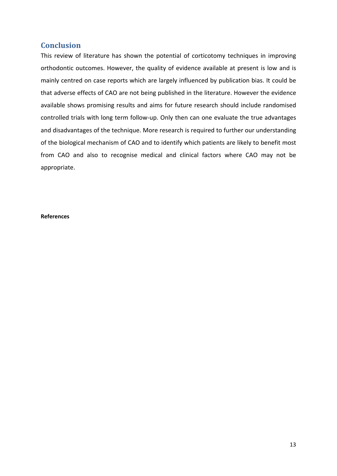# **Conclusion**

This review of literature has shown the potential of corticotomy techniques in improving orthodontic outcomes. However, the quality of evidence available at present is low and is mainly centred on case reports which are largely influenced by publication bias. It could be that adverse effects of CAO are not being published in the literature. However the evidence available shows promising results and aims for future research should include randomised controlled trials with long term follow-up. Only then can one evaluate the true advantages and disadvantages of the technique. More research is required to further our understanding of the biological mechanism of CAO and to identify which patients are likely to benefit most from CAO and also to recognise medical and clinical factors where CAO may not be appropriate.

#### **References**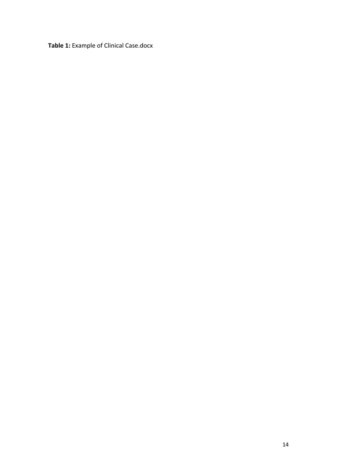**Table 1:** Example of Clinical Case.docx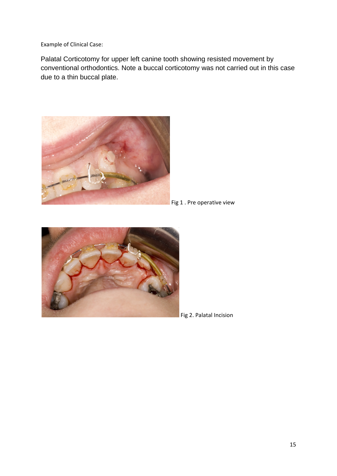Example of Clinical Case:

Palatal Corticotomy for upper left canine tooth showing resisted movement by conventional orthodontics. Note a buccal corticotomy was not carried out in this case due to a thin buccal plate.



Fig 1. Pre operative view



Fig 2. Palatal Incision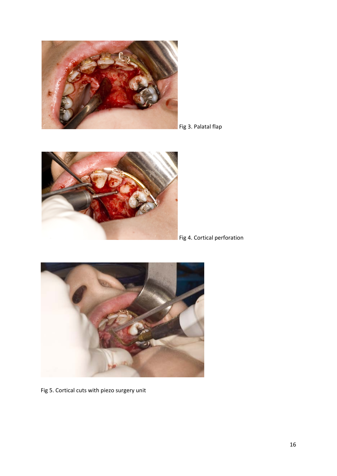





Fig 4. Cortical perforation



Fig 5. Cortical cuts with piezo surgery unit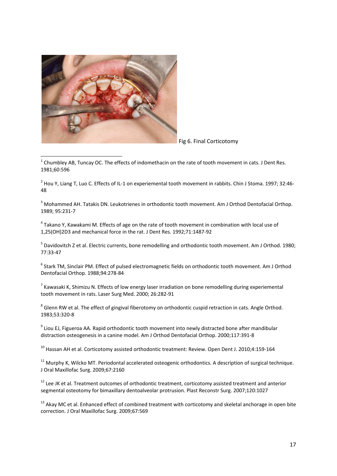

Fig 6. Final Corticotomy

 $1$  Chumbley AB, Tuncay OC. The effects of indomethacin on the rate of tooth movement in cats. J Dent Res. 1981;60:596

 $2$  Hou Y, Liang T, Luo C. Effects of IL-1 on experiemental tooth movement in rabbits. Chin J Stoma. 1997; 32:46-48

<sup>3</sup> Mohammed AH. Tatakis DN. Leukotrienes in orthodontic tooth movement. Am J Orthod Dentofacial Orthop. 1989; 95:231-7

<sup>4</sup> Takano Y, Kawakami M. Effects of age on the rate of tooth movement in combination with local use of 1,25(OH)2D3 and mechanical force in the rat. J Dent Res. 1992;71:1487-92

<sup>5</sup> Davidovitch Z et al. Electric currents, bone remodelling and orthodontic tooth movement. Am J Orthod. 1980; 77:33-47

<sup>6</sup> Stark TM, Sinclair PM. Effect of pulsed electromagnetic fields on orthodontic tooth movement. Am J Orthod Dentofacial Orthop. 1988;94:278-84

 $7$  Kawasaki K, Shimizu N. Effects of low energy laser irradiation on bone remodelling during experiemental tooth movement in rats. Laser Surg Med. 2000; 26:282-91

<sup>8</sup> Glenn RW et al. The effect of gingival fiberotomy on orthodontic cuspid retraction in cats. Angle Orthod. 1983;53:320-8

 $9$  Liou EJ, Figueroa AA. Rapid orthodontic tooth movement into newly distracted bone after mandibular distraction osteogenesis in a canine model. Am J Orthod Dentofacial Orthop. 2000;117:391-8

<sup>10</sup> Hassan AH et al. Corticotomy assisted orthodontic treatment: Review. Open Dent J. 2010;4:159-164

<sup>11</sup> Murphy K, Wilcko MT. Periodontal accelerated osteogenic orthodontics. A description of surgical technique. J Oral Maxillofac Surg. 2009;67:2160

<sup>12</sup> Lee JK et al. Treatment outcomes of orthodontic treatment, corticotomy assisted treatment and anterior segmental osteotomy for bimaxillary dentoalveolar protrusion. Plast Reconstr Surg. 2007;120:1027

 $13$  Akay MC et al. Enhanced effect of combined treatment with corticotomy and skeletal anchorage in open bite correction. J Oral Maxillofac Surg. 2009;67:569